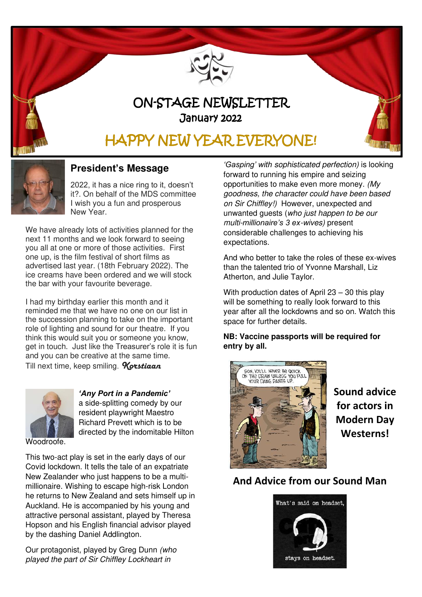

# ON-STAGE NEWSLETTER January 2022

# HAPPY NEW YEAR EVERYONE!



### **President's Message**

2022, it has a nice ring to it, doesn't it?. On behalf of the MDS committee I wish you a fun and prosperous New Year.

We have already lots of activities planned for the next 11 months and we look forward to seeing you all at one or more of those activities. First one up, is the film festival of short films as advertised last year. (18th February 2022). The ice creams have been ordered and we will stock the bar with your favourite beverage.

I had my birthday earlier this month and it reminded me that we have no one on our list in the succession planning to take on the important role of lighting and sound for our theatre. If you think this would suit you or someone you know, get in touch. Just like the Treasurer's role it is fun and you can be creative at the same time. Till next time, keep smiling. **Korstiaan** 



*'Any Port in a Pandemic'*  a side-splitting comedy by our resident playwright Maestro Richard Prevett which is to be directed by the indomitable Hilton

Woodroofe.

This two-act play is set in the early days of our Covid lockdown. It tells the tale of an expatriate New Zealander who just happens to be a multimillionaire. Wishing to escape high-risk London he returns to New Zealand and sets himself up in Auckland. He is accompanied by his young and attractive personal assistant, played by Theresa Hopson and his English financial advisor played by the dashing Daniel Addlington.

Our protagonist, played by Greg Dunn (who played the part of Sir Chiffley Lockheart in

*'Gasping' with* sophisticated perfection) is looking forward to running his empire and seizing opportunities to make even more money. (My goodness, the character could have been based on Sir Chiffley!) However, unexpected and unwanted guests (who just happen to be our multi-*millionaire's 3 ex*-wives) present considerable challenges to achieving his expectations.

And who better to take the roles of these ex-wives than the talented trio of Yvonne Marshall, Liz Atherton, and Julie Taylor.

With production dates of April 23 – 30 this play will be something to really look forward to this year after all the lockdowns and so on. Watch this space for further details.

**NB: Vaccine passports will be required for entry by all.** 



**Sound advice for actors in Modern Day Westerns!** 

### **And Advice from our Sound Man**

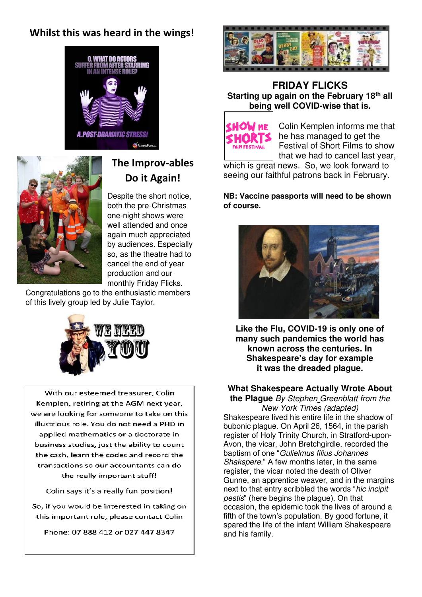### **Whilst this was heard in the wings!**





## **The Improv-ables Do it Again!**

Despite the short notice, both the pre-Christmas one-night shows were well attended and once again much appreciated by audiences. Especially so, as the theatre had to cancel the end of year production and our monthly Friday Flicks.

Congratulations go to the enthusiastic members of this lively group led by Julie Taylor.



With our esteemed treasurer, Colin Kemplen, retiring at the AGM next year, we are looking for someone to take on this illustrious role. You do not need a PHD in applied mathematics or a doctorate in business studies, just the ability to count the cash, learn the codes and record the transactions so our accountants can do the really important stuff!

Colin says it's a really fun position!

So, if you would be interested in taking on this important role, please contact Colin

Phone: 07 888 412 or 027 447 8347



#### **FRIDAY FLICKS Starting up again on the February 18th all being well COVID-wise that is.**



Colin Kemplen informs me that he has managed to get the Festival of Short Films to show that we had to cancel last year,

which is great news.So, we look forward to seeing our faithful patrons back in February.

#### **NB: Vaccine passports will need to be shown of course.**



**Like the Flu, COVID-19 is only one of many such pandemics the world has known across the centuries. In Shakespeare's day for example it was the dreaded plague.** 

### **What Shakespeare Actually Wrote About**

**the Plague** By [Stephen Greenblatt](https://www.newyorker.com/contributors/stephen-greenblatt) from the New York Times (adapted) Shakespeare lived his entire life in the shadow of bubonic plague. On April 26, 1564, in the parish register of Holy Trinity Church, in Stratford-upon-Avon, the vicar, John Bretchgirdle, recorded the baptism of one "Gulielmus filius Johannes Shakspere." A few months later, in the same register, the vicar noted the death of Oliver Gunne, an apprentice weaver, and in the margins next to that entry scribbled the words "hic incipit pestis" (here begins the plague). On that occasion, the epidemic took the lives of around a fifth of the town's population. By good fortune, it spared the life of the infant William Shakespeare and his family.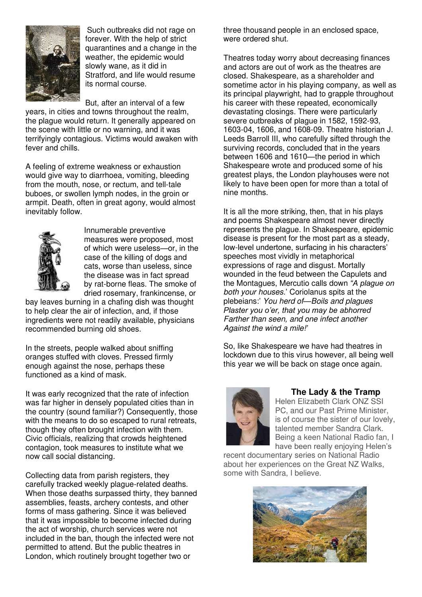

Such outbreaks did not rage on forever. With the help of strict quarantines and a change in the weather, the epidemic would slowly wane, as it did in Stratford, and life would resume its normal course.

But, after an interval of a few

years, in cities and towns throughout the realm, the plague would return. It generally appeared on the scene with little or no warning, and it was terrifyingly contagious. Victims would awaken with fever and chills.

A feeling of extreme weakness or exhaustion would give way to diarrhoea, vomiting, bleeding from the mouth, nose, or rectum, and tell-tale buboes, or swollen lymph nodes, in the groin or armpit. Death, often in great agony, would almost inevitably follow.



Innumerable preventive measures were proposed, most of which were useless—or, in the case of the killing of dogs and cats, worse than useless, since the disease was in fact spread by rat-borne fleas. The smoke of dried rosemary, frankincense, or

bay leaves burning in a chafing dish was thought to help clear the air of infection, and, if those ingredients were not readily available, physicians recommended burning old shoes.

In the streets, people walked about sniffing oranges stuffed with cloves. Pressed firmly enough against the nose, perhaps these functioned as a kind of mask.

It was early recognized that the rate of infection was far higher in densely populated cities than in the country (sound familiar?) Consequently, those with the means to do so escaped to rural retreats, though they often brought infection with them. Civic officials, realizing that crowds heightened contagion, took measures to institute what we now call social distancing.

Collecting data from parish registers, they carefully tracked weekly plague-related deaths. When those deaths surpassed thirty, they banned assemblies, feasts, archery contests, and other forms of mass gathering. Since it was believed that it was impossible to become infected during the act of worship, church services were not included in the ban, though the infected were not permitted to attend. But the public theatres in London, which routinely brought together two or

three thousand people in an enclosed space, were ordered shut.

Theatres today worry about decreasing finances and actors are out of work as the theatres are closed. Shakespeare, as a shareholder and sometime actor in his playing company, as well as its principal playwright, had to grapple throughout his career with these repeated, economically devastating closings. There were particularly severe outbreaks of plague in 1582, 1592-93, 1603-04, 1606, and 1608-09. Theatre historian J. Leeds Barroll III, who carefully sifted through the surviving records, concluded that in the years between 1606 and 1610—the period in which Shakespeare wrote and produced some of his greatest plays, the London playhouses were not likely to have been open for more than a total of nine months.

It is all the more striking, then, that in his plays and poems Shakespeare almost never directly represents the plague. In Shakespeare, epidemic disease is present for the most part as a steady, low-level undertone, surfacing in his characters' speeches most vividly in metaphorical expressions of rage and disgust. Mortally wounded in the feud between the Capulets and the Montagues, Mercutio calls down *"A plague on*  both your houses.' [Coriolanus](https://www.newyorker.com/culture/culture-desk/the-shakespeare-play-that-presaged-the-trump-administrations-response-to-the-coronavirus-pandemic) spits at the plebeians:' You herd of*—*Boils and plagues *Plaster you o'er, that you may be abhorred* Farther than seen, and one infect another Against the wind a mile!*'*

So, like Shakespeare we have had theatres in lockdown due to this virus however, all being well this year we will be back on stage once again.



#### **The Lady & the Tramp**

Helen Elizabeth Clark ONZ SSI PC, and our Past Prime Minister, is of course the sister of our lovely, talented member Sandra Clark. Being a keen National Radio fan, I have been really enjoying Helen's

recent documentary series on National Radio about her experiences on the Great NZ Walks, some with Sandra, I believe.